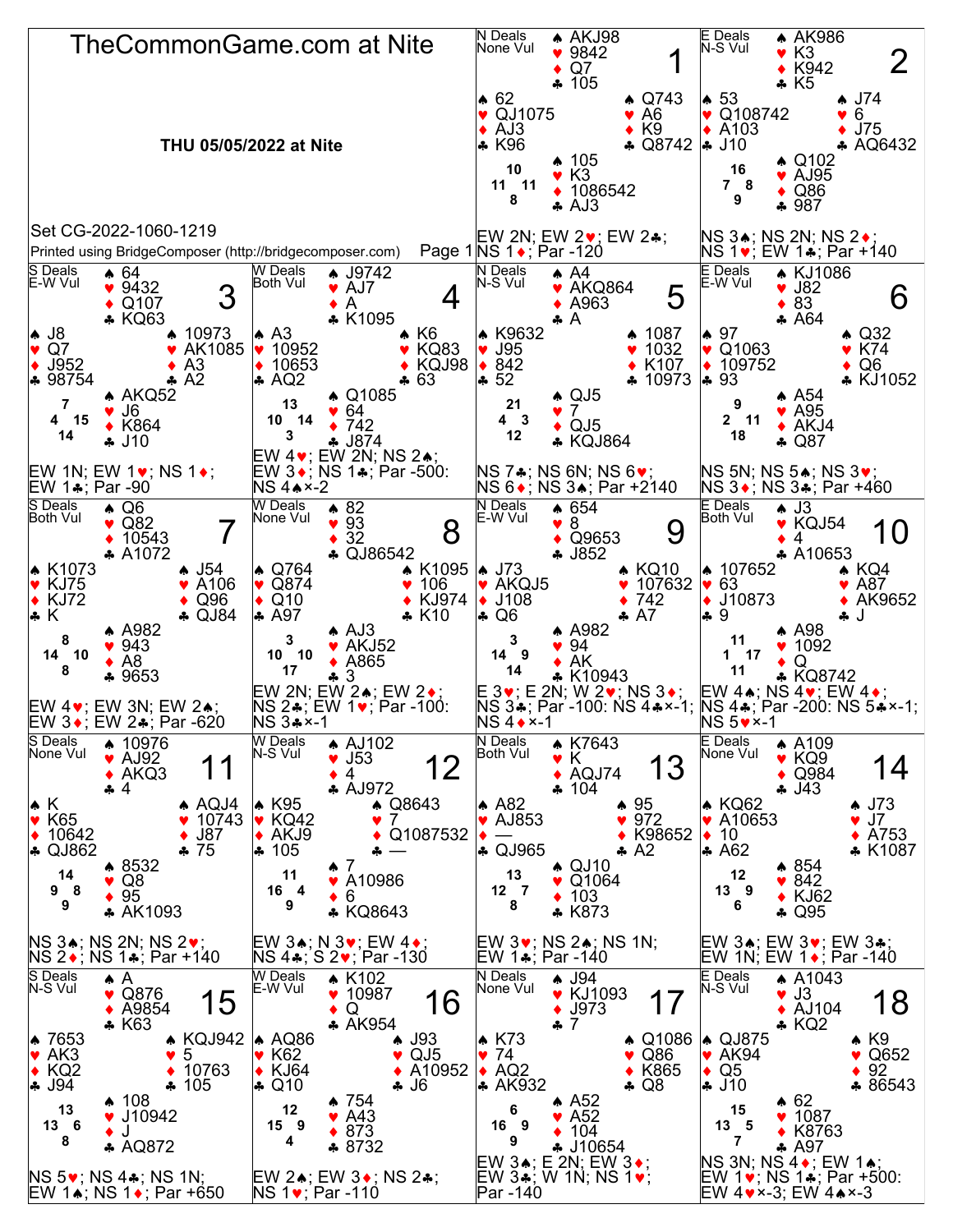